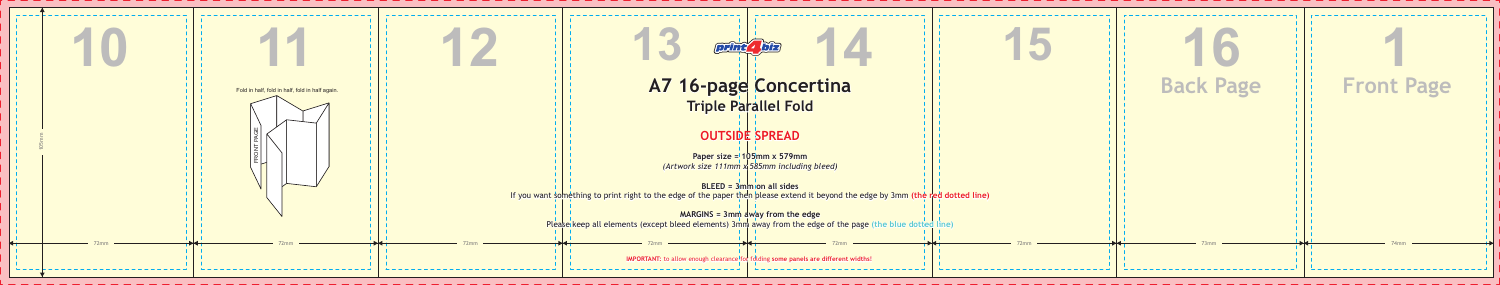